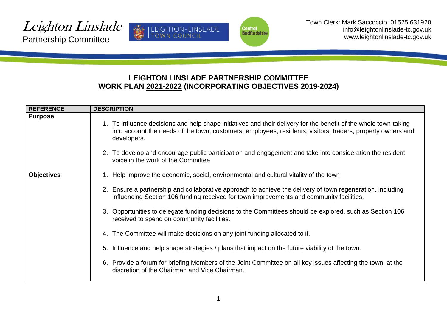





## **LEIGHTON LINSLADE PARTNERSHIP COMMITTEE WORK PLAN 2021-2022 (INCORPORATING OBJECTIVES 2019-2024)**

| <b>REFERENCE</b>  | <b>DESCRIPTION</b>                                                                                                                                                                                                                             |  |  |
|-------------------|------------------------------------------------------------------------------------------------------------------------------------------------------------------------------------------------------------------------------------------------|--|--|
| <b>Purpose</b>    | 1. To influence decisions and help shape initiatives and their delivery for the benefit of the whole town taking<br>into account the needs of the town, customers, employees, residents, visitors, traders, property owners and<br>developers. |  |  |
|                   | 2. To develop and encourage public participation and engagement and take into consideration the resident<br>voice in the work of the Committee                                                                                                 |  |  |
| <b>Objectives</b> | 1. Help improve the economic, social, environmental and cultural vitality of the town                                                                                                                                                          |  |  |
|                   | 2. Ensure a partnership and collaborative approach to achieve the delivery of town regeneration, including<br>influencing Section 106 funding received for town improvements and community facilities.                                         |  |  |
|                   | 3. Opportunities to delegate funding decisions to the Committees should be explored, such as Section 106<br>received to spend on community facilities.                                                                                         |  |  |
|                   | 4. The Committee will make decisions on any joint funding allocated to it.                                                                                                                                                                     |  |  |
|                   | 5. Influence and help shape strategies / plans that impact on the future viability of the town.                                                                                                                                                |  |  |
|                   | 6. Provide a forum for briefing Members of the Joint Committee on all key issues affecting the town, at the<br>discretion of the Chairman and Vice Chairman.                                                                                   |  |  |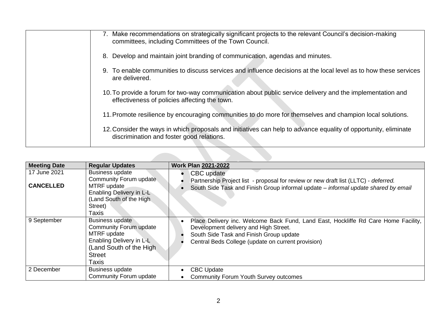| 7. Make recommendations on strategically significant projects to the relevant Council's decision-making<br>committees, including Committees of the Town Council. |
|------------------------------------------------------------------------------------------------------------------------------------------------------------------|
| 8. Develop and maintain joint branding of communication, agendas and minutes.                                                                                    |
| To enable communities to discuss services and influence decisions at the local level as to how these services<br>9.<br>are delivered.                            |
| 10. To provide a forum for two-way communication about public service delivery and the implementation and<br>effectiveness of policies affecting the town.       |
| 11. Promote resilience by encouraging communities to do more for themselves and champion local solutions.                                                        |
| 12. Consider the ways in which proposals and initiatives can help to advance equality of opportunity, eliminate<br>discrimination and foster good relations.     |
|                                                                                                                                                                  |

| <b>Meeting Date</b>              | <b>Regular Updates</b>                                                                                                                           | <b>Work Plan 2021-2022</b>                                                                                                                                                                                                   |
|----------------------------------|--------------------------------------------------------------------------------------------------------------------------------------------------|------------------------------------------------------------------------------------------------------------------------------------------------------------------------------------------------------------------------------|
| 17 June 2021<br><b>CANCELLED</b> | <b>Business update</b><br>Community Forum update<br>MTRF update<br>Enabling Delivery in L-L<br>(Land South of the High<br>Street)<br>Taxis       | <b>CBC</b> update<br>Partnership Project list - proposal for review or new draft list (LLTC) - deferred.<br>South Side Task and Finish Group informal update - informal update shared by email                               |
| 9 September                      | Business update<br><b>Community Forum update</b><br>MTRF update<br>Enabling Delivery in L-L<br>(Land South of the High<br><b>Street</b><br>Taxis | Place Delivery inc. Welcome Back Fund, Land East, Hockliffe Rd Care Home Facility,<br>Development delivery and High Street.<br>South Side Task and Finish Group update<br>Central Beds College (update on current provision) |
| 2 December                       | <b>Business update</b><br>Community Forum update                                                                                                 | <b>CBC Update</b><br><b>Community Forum Youth Survey outcomes</b>                                                                                                                                                            |